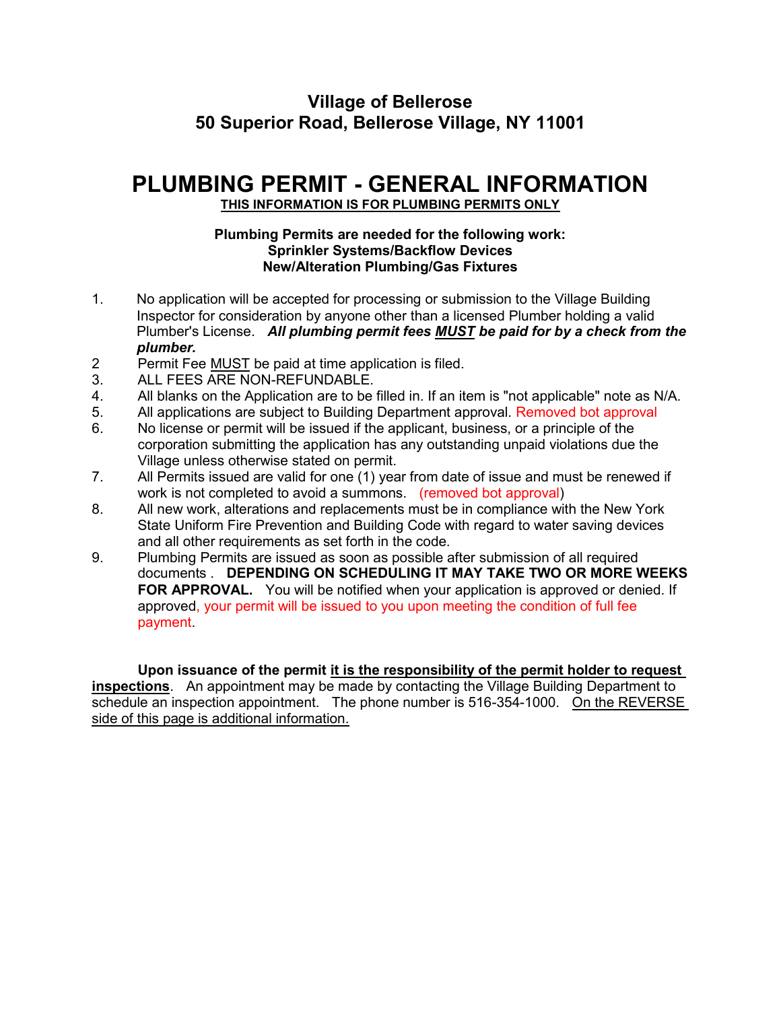## **Village of Bellerose 50 Superior Road, Bellerose Village, NY 11001**

# **PLUMBING PERMIT - GENERAL INFORMATION**

#### **THIS INFORMATION IS FOR PLUMBING PERMITS ONLY**

#### **Plumbing Permits are needed for the following work: Sprinkler Systems/Backflow Devices New/Alteration Plumbing/Gas Fixtures**

- 1. No application will be accepted for processing or submission to the Village Building Inspector for consideration by anyone other than a licensed Plumber holding a valid Plumber's License. *All plumbing permit fees MUST be paid for by a check from the plumber.*
- 2 Permit Fee MUST be paid at time application is filed.
- 3. ALL FEES ARE NON-REFUNDABLE.
- 4. All blanks on the Application are to be filled in. If an item is "not applicable" note as N/A.
- 5. All applications are subject to Building Department approval. Removed bot approval
- 6. No license or permit will be issued if the applicant, business, or a principle of the corporation submitting the application has any outstanding unpaid violations due the Village unless otherwise stated on permit.
- 7. All Permits issued are valid for one (1) year from date of issue and must be renewed if work is not completed to avoid a summons. (removed bot approval)
- 8. All new work, alterations and replacements must be in compliance with the New York State Uniform Fire Prevention and Building Code with regard to water saving devices and all other requirements as set forth in the code.
- 9. Plumbing Permits are issued as soon as possible after submission of all required documents . **DEPENDING ON SCHEDULING IT MAY TAKE TWO OR MORE WEEKS FOR APPROVAL.** You will be notified when your application is approved or denied. If approved, your permit will be issued to you upon meeting the condition of full fee payment.

**Upon issuance of the permit it is the responsibility of the permit holder to request inspections**. An appointment may be made by contacting the Village Building Department to schedule an inspection appointment. The phone number is 516-354-1000. On the REVERSE side of this page is additional information.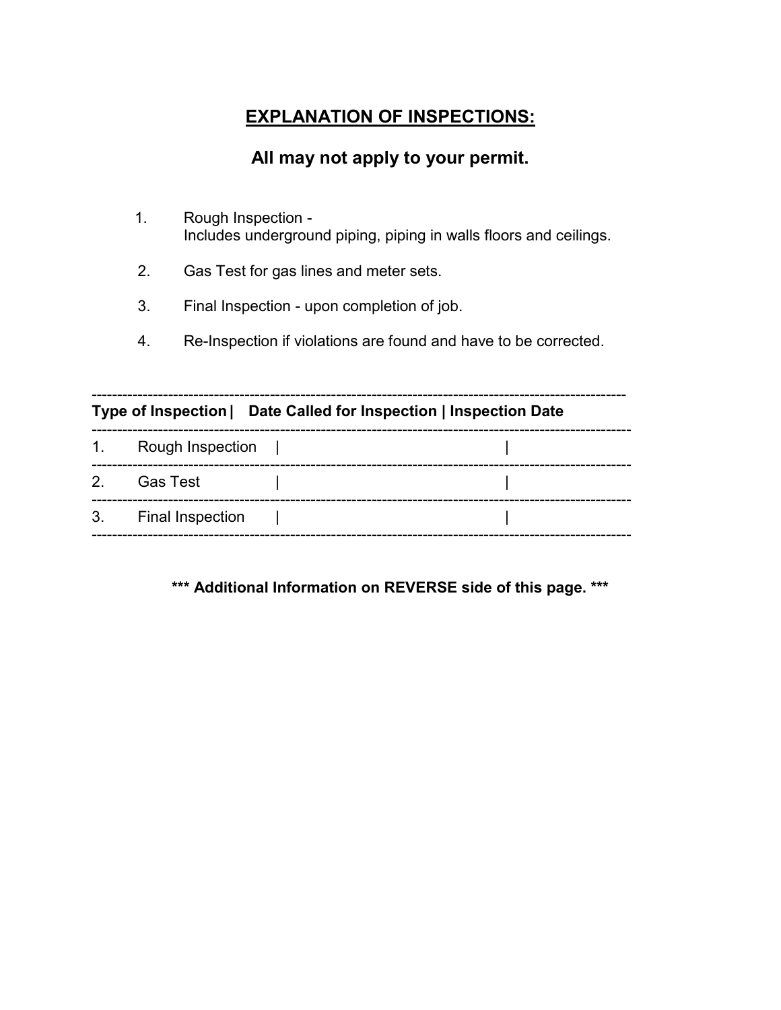# **EXPLANATION OF INSPECTIONS:**

## **All may not apply to your permit.**

- 1. Rough Inspection Includes underground piping, piping in walls floors and ceilings.
- 2. Gas Test for gas lines and meter sets.
- 3. Final Inspection upon completion of job.
- 4. Re-Inspection if violations are found and have to be corrected.

| Type of Inspection   Date Called for Inspection   Inspection Date |                     |  |  |  |  |
|-------------------------------------------------------------------|---------------------|--|--|--|--|
|                                                                   | 1. Rough Inspection |  |  |  |  |
|                                                                   | 2. Gas Test         |  |  |  |  |
|                                                                   | 3. Final Inspection |  |  |  |  |

**\*\*\* Additional Information on REVERSE side of this page. \*\*\***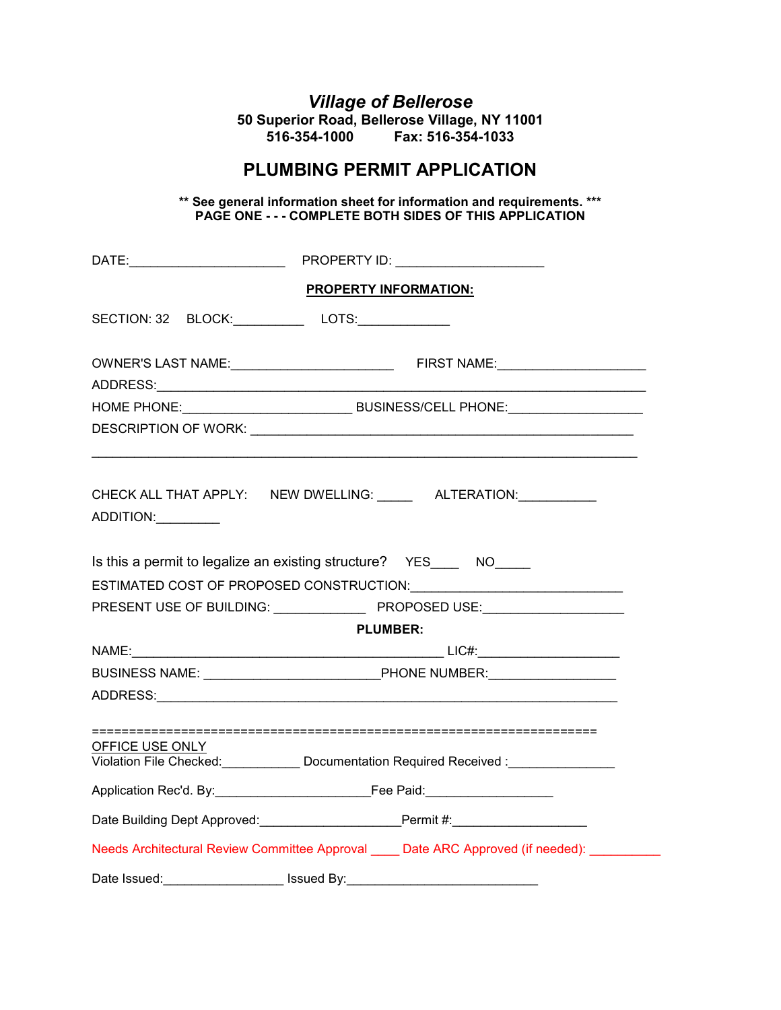# *Village of Bellerose*

**50 Superior Road, Bellerose Village, NY 11001 516-354-1000 Fax: 516-354-1033**

### **PLUMBING PERMIT APPLICATION**

**\*\* See general information sheet for information and requirements. \*\*\* PAGE ONE - - - COMPLETE BOTH SIDES OF THIS APPLICATION** 

|                                                                              | <b>PROPERTY INFORMATION:</b>                                                                  |  |  |  |  |  |
|------------------------------------------------------------------------------|-----------------------------------------------------------------------------------------------|--|--|--|--|--|
|                                                                              |                                                                                               |  |  |  |  |  |
|                                                                              |                                                                                               |  |  |  |  |  |
|                                                                              |                                                                                               |  |  |  |  |  |
|                                                                              |                                                                                               |  |  |  |  |  |
| ADDITION:                                                                    | CHECK ALL THAT APPLY: NEW DWELLING: ______ ALTERATION: _________                              |  |  |  |  |  |
|                                                                              | Is this a permit to legalize an existing structure? YES______ NO_____                         |  |  |  |  |  |
|                                                                              |                                                                                               |  |  |  |  |  |
|                                                                              | PRESENT USE OF BUILDING: PROPOSED USE:                                                        |  |  |  |  |  |
|                                                                              | <b>PLUMBER:</b>                                                                               |  |  |  |  |  |
|                                                                              |                                                                                               |  |  |  |  |  |
|                                                                              |                                                                                               |  |  |  |  |  |
|                                                                              |                                                                                               |  |  |  |  |  |
| OFFICE USE ONLY<br>Violation File Checked: Documentation Required Received : |                                                                                               |  |  |  |  |  |
|                                                                              |                                                                                               |  |  |  |  |  |
|                                                                              | Date Building Dept Approved: _____________________________Permit #:_____________              |  |  |  |  |  |
|                                                                              | Needs Architectural Review Committee Approval _____ Date ARC Approved (if needed): __________ |  |  |  |  |  |
| Date Issued:                                                                 |                                                                                               |  |  |  |  |  |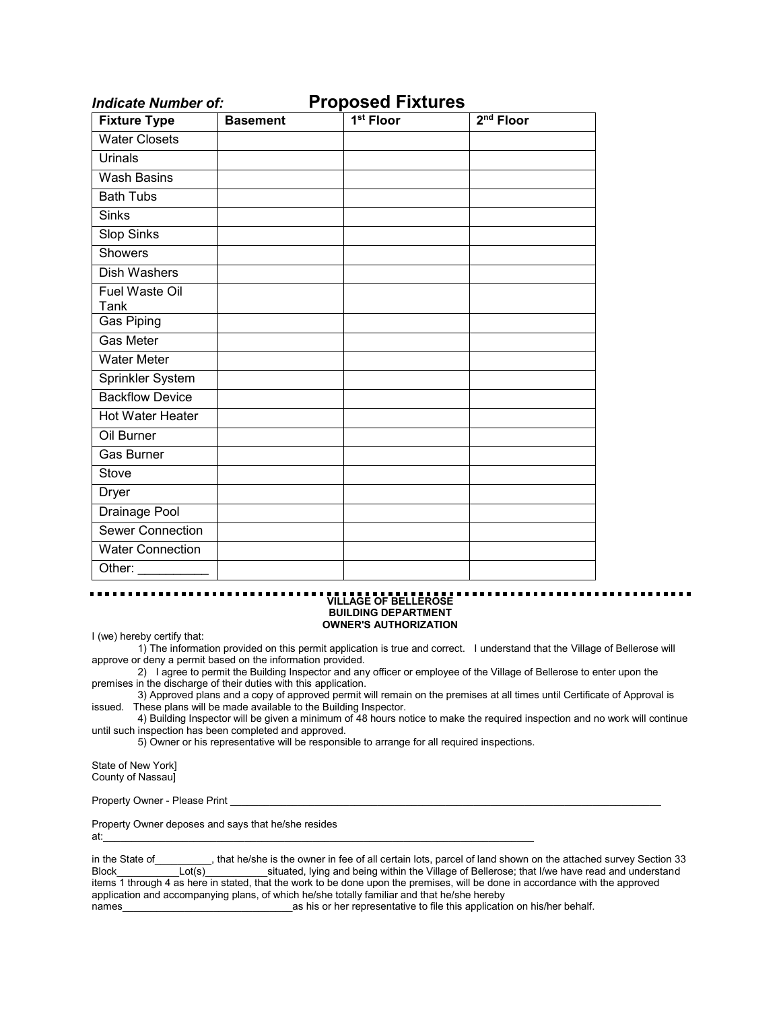| <b>Fixture Type</b>             | <b>Basement</b> | $1st$ Floor | $2nd$ Floor |
|---------------------------------|-----------------|-------------|-------------|
| <b>Water Closets</b>            |                 |             |             |
| Urinals                         |                 |             |             |
| <b>Wash Basins</b>              |                 |             |             |
| <b>Bath Tubs</b>                |                 |             |             |
| <b>Sinks</b>                    |                 |             |             |
| <b>Slop Sinks</b>               |                 |             |             |
| Showers                         |                 |             |             |
| Dish Washers                    |                 |             |             |
| Fuel Waste Oil<br>Tank          |                 |             |             |
| Gas Piping                      |                 |             |             |
| Gas Meter                       |                 |             |             |
| <b>Water Meter</b>              |                 |             |             |
| Sprinkler System                |                 |             |             |
| <b>Backflow Device</b>          |                 |             |             |
| Hot Water Heater                |                 |             |             |
| Oil Burner                      |                 |             |             |
| Gas Burner                      |                 |             |             |
| Stove                           |                 |             |             |
| <b>Dryer</b>                    |                 |             |             |
| Drainage Pool                   |                 |             |             |
| <b>Sewer Connection</b>         |                 |             |             |
| <b>Water Connection</b>         |                 |             |             |
| Other: $\overline{\phantom{a}}$ |                 |             |             |

*Indicate Number of:* **Proposed Fixtures**

#### **VILLAGE OF BELLEROSE BUILDING DEPARTMENT OWNER'S AUTHORIZATION**

I (we) hereby certify that:

1) The information provided on this permit application is true and correct. I understand that the Village of Bellerose will approve or deny a permit based on the information provided.

2) I agree to permit the Building Inspector and any officer or employee of the Village of Bellerose to enter upon the premises in the discharge of their duties with this application.

3) Approved plans and a copy of approved permit will remain on the premises at all times until Certificate of Approval is issued. These plans will be made available to the Building Inspector.

4) Building Inspector will be given a minimum of 48 hours notice to make the required inspection and no work will continue until such inspection has been completed and approved.

5) Owner or his representative will be responsible to arrange for all required inspections.

State of New York] County of Nassau]

Property Owner - Please Print

Property Owner deposes and says that he/she resides

at:  $\overline{a}$ 

in the State of That he/she is the owner in fee of all certain lots, parcel of land shown on the attached survey Section 33 Block Lot(s) usituated, lying and being within the Village of Bellerose; that I/we have read and understand items 1 through 4 as here in stated, that the work to be done upon the premises, will be done in accordance with the approved application and accompanying plans, of which he/she totally familiar and that he/she hereby<br>as his or her representative to file this applicatio as his or her representative to file this application on his/her behalf.